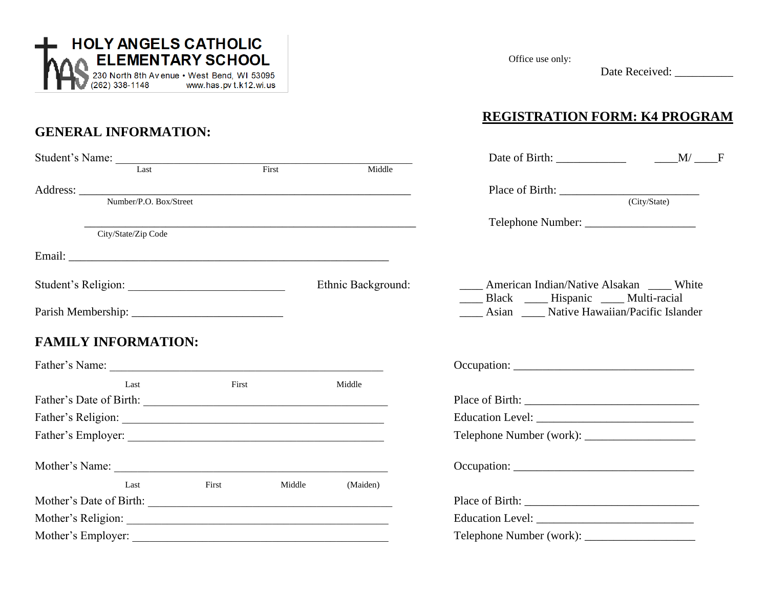

## **GENERAL INFORMATION:**

| Student's Name: The Charles Charles Charles Charles Charles Charles Charles Charles Charles Charles Charles Charles Charles Charles Charles Charles Charles Charles Charles Charles Charles Charles Charles Charles Charles Ch |       |        |                    |                                                                                            |
|--------------------------------------------------------------------------------------------------------------------------------------------------------------------------------------------------------------------------------|-------|--------|--------------------|--------------------------------------------------------------------------------------------|
|                                                                                                                                                                                                                                |       |        | Middle             |                                                                                            |
|                                                                                                                                                                                                                                |       |        |                    |                                                                                            |
| Number/P.O. Box/Street                                                                                                                                                                                                         |       |        |                    |                                                                                            |
|                                                                                                                                                                                                                                |       |        |                    |                                                                                            |
| City/State/Zip Code                                                                                                                                                                                                            |       |        |                    |                                                                                            |
|                                                                                                                                                                                                                                |       |        |                    |                                                                                            |
|                                                                                                                                                                                                                                |       |        | Ethnic Background: | American Indian/Native Alsakan _____ White<br>____ Black _____ Hispanic _____ Multi-racial |
|                                                                                                                                                                                                                                |       |        |                    | ____ Asian _____ Native Hawaiian/Pacific Islander                                          |
| <b>FAMILY INFORMATION:</b>                                                                                                                                                                                                     |       |        |                    |                                                                                            |
|                                                                                                                                                                                                                                |       |        |                    |                                                                                            |
| Last                                                                                                                                                                                                                           | First |        | Middle             |                                                                                            |
|                                                                                                                                                                                                                                |       |        |                    |                                                                                            |
|                                                                                                                                                                                                                                |       |        |                    |                                                                                            |
|                                                                                                                                                                                                                                |       |        |                    |                                                                                            |
| Mother's Name: 2008. [2016] Mother's Name:                                                                                                                                                                                     |       |        |                    | Occupation:                                                                                |
| Last                                                                                                                                                                                                                           | First | Middle | (Maiden)           |                                                                                            |
|                                                                                                                                                                                                                                |       |        |                    |                                                                                            |
|                                                                                                                                                                                                                                |       |        |                    |                                                                                            |
|                                                                                                                                                                                                                                |       |        |                    |                                                                                            |

Office use only:

Date Received: \_\_\_\_\_\_\_\_\_\_

## **REGISTRATION FORM: K4 PROGRAM**